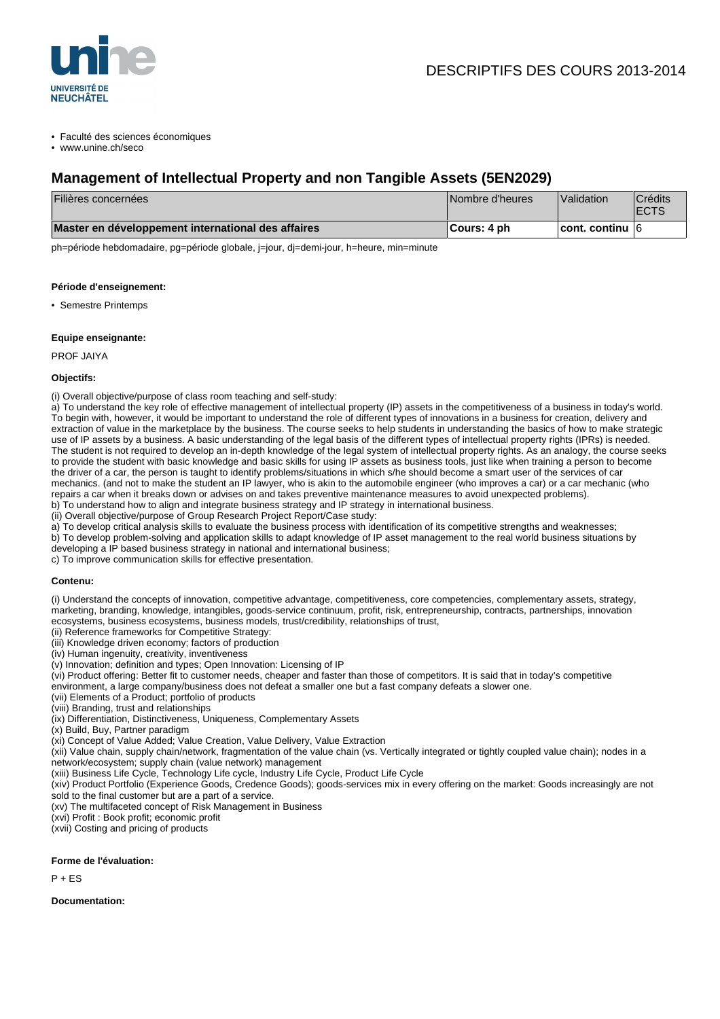

• Faculté des sciences économiques

• www.unine.ch/seco

# **Management of Intellectual Property and non Tangible Assets (5EN2029)**

| Filières concernées                                | Nombre d'heures | Validation              | <b>Crédits</b><br><b>IECTS</b> |
|----------------------------------------------------|-----------------|-------------------------|--------------------------------|
| Master en développement international des affaires | ∥Cours: 4 ph    | $ $ cont. continu $ 6 $ |                                |

ph=période hebdomadaire, pg=période globale, j=jour, dj=demi-jour, h=heure, min=minute

#### **Période d'enseignement:**

• Semestre Printemps

#### **Equipe enseignante:**

PROF JAIYA

#### **Objectifs:**

(i) Overall objective/purpose of class room teaching and self-study:

a) To understand the key role of effective management of intellectual property (IP) assets in the competitiveness of a business in today's world. To begin with, however, it would be important to understand the role of different types of innovations in a business for creation, delivery and extraction of value in the marketplace by the business. The course seeks to help students in understanding the basics of how to make strategic use of IP assets by a business. A basic understanding of the legal basis of the different types of intellectual property rights (IPRs) is needed. The student is not required to develop an in-depth knowledge of the legal system of intellectual property rights. As an analogy, the course seeks to provide the student with basic knowledge and basic skills for using IP assets as business tools, just like when training a person to become the driver of a car, the person is taught to identify problems/situations in which s/he should become a smart user of the services of car mechanics. (and not to make the student an IP lawyer, who is akin to the automobile engineer (who improves a car) or a car mechanic (who repairs a car when it breaks down or advises on and takes preventive maintenance measures to avoid unexpected problems). b) To understand how to align and integrate business strategy and IP strategy in international business.

(ii) Overall objective/purpose of Group Research Project Report/Case study:

a) To develop critical analysis skills to evaluate the business process with identification of its competitive strengths and weaknesses;

b) To develop problem-solving and application skills to adapt knowledge of IP asset management to the real world business situations by developing a IP based business strategy in national and international business;

c) To improve communication skills for effective presentation.

#### **Contenu:**

(i) Understand the concepts of innovation, competitive advantage, competitiveness, core competencies, complementary assets, strategy, marketing, branding, knowledge, intangibles, goods-service continuum, profit, risk, entrepreneurship, contracts, partnerships, innovation ecosystems, business ecosystems, business models, trust/credibility, relationships of trust,

(ii) Reference frameworks for Competitive Strategy:

(iii) Knowledge driven economy; factors of production

(iv) Human ingenuity, creativity, inventiveness

(v) Innovation; definition and types; Open Innovation: Licensing of IP

(vi) Product offering: Better fit to customer needs, cheaper and faster than those of competitors. It is said that in today's competitive

environment, a large company/business does not defeat a smaller one but a fast company defeats a slower one.

(vii) Elements of a Product; portfolio of products

(viii) Branding, trust and relationships

(ix) Differentiation, Distinctiveness, Uniqueness, Complementary Assets

(x) Build, Buy, Partner paradigm

(xi) Concept of Value Added; Value Creation, Value Delivery, Value Extraction

(xii) Value chain, supply chain/network, fragmentation of the value chain (vs. Vertically integrated or tightly coupled value chain); nodes in a network/ecosystem; supply chain (value network) management

(xiii) Business Life Cycle, Technology Life cycle, Industry Life Cycle, Product Life Cycle

(xiv) Product Portfolio (Experience Goods, Credence Goods); goods-services mix in every offering on the market: Goods increasingly are not sold to the final customer but are a part of a service.

(xv) The multifaceted concept of Risk Management in Business

(xvi) Profit : Book profit; economic profit

(xvii) Costing and pricing of products

#### **Forme de l'évaluation:**

 $P + FS$ 

**Documentation:**